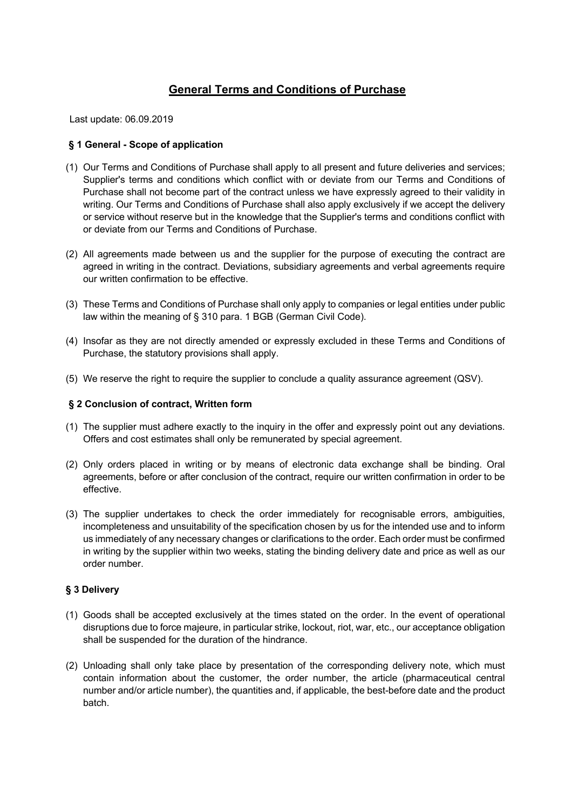# **General Terms and Conditions of Purchase**

Last update: 06.09.2019

# **§ 1 General - Scope of application**

- (1) Our Terms and Conditions of Purchase shall apply to all present and future deliveries and services; Supplier's terms and conditions which conflict with or deviate from our Terms and Conditions of Purchase shall not become part of the contract unless we have expressly agreed to their validity in writing. Our Terms and Conditions of Purchase shall also apply exclusively if we accept the delivery or service without reserve but in the knowledge that the Supplier's terms and conditions conflict with or deviate from our Terms and Conditions of Purchase.
- (2) All agreements made between us and the supplier for the purpose of executing the contract are agreed in writing in the contract. Deviations, subsidiary agreements and verbal agreements require our written confirmation to be effective.
- (3) These Terms and Conditions of Purchase shall only apply to companies or legal entities under public law within the meaning of § 310 para. 1 BGB (German Civil Code).
- (4) Insofar as they are not directly amended or expressly excluded in these Terms and Conditions of Purchase, the statutory provisions shall apply.
- (5) We reserve the right to require the supplier to conclude a quality assurance agreement (QSV).

# **§ 2 Conclusion of contract, Written form**

- (1) The supplier must adhere exactly to the inquiry in the offer and expressly point out any deviations. Offers and cost estimates shall only be remunerated by special agreement.
- (2) Only orders placed in writing or by means of electronic data exchange shall be binding. Oral agreements, before or after conclusion of the contract, require our written confirmation in order to be effective.
- (3) The supplier undertakes to check the order immediately for recognisable errors, ambiguities, incompleteness and unsuitability of the specification chosen by us for the intended use and to inform us immediately of any necessary changes or clarifications to the order. Each order must be confirmed in writing by the supplier within two weeks, stating the binding delivery date and price as well as our order number.

# **§ 3 Delivery**

- (1) Goods shall be accepted exclusively at the times stated on the order. In the event of operational disruptions due to force majeure, in particular strike, lockout, riot, war, etc., our acceptance obligation shall be suspended for the duration of the hindrance.
- (2) Unloading shall only take place by presentation of the corresponding delivery note, which must contain information about the customer, the order number, the article (pharmaceutical central number and/or article number), the quantities and, if applicable, the best-before date and the product batch.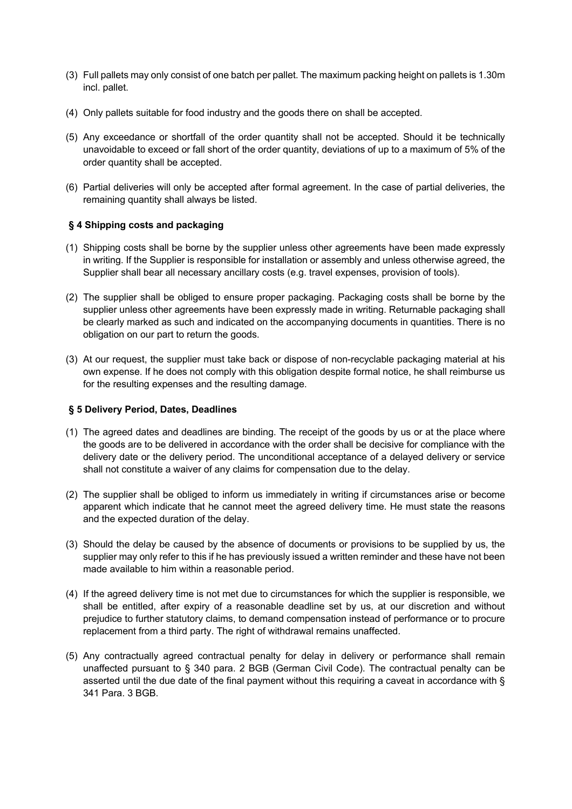- (3) Full pallets may only consist of one batch per pallet. The maximum packing height on pallets is 1.30m incl. pallet.
- (4) Only pallets suitable for food industry and the goods there on shall be accepted.
- (5) Any exceedance or shortfall of the order quantity shall not be accepted. Should it be technically unavoidable to exceed or fall short of the order quantity, deviations of up to a maximum of 5% of the order quantity shall be accepted.
- (6) Partial deliveries will only be accepted after formal agreement. In the case of partial deliveries, the remaining quantity shall always be listed.

# **§ 4 Shipping costs and packaging**

- (1) Shipping costs shall be borne by the supplier unless other agreements have been made expressly in writing. If the Supplier is responsible for installation or assembly and unless otherwise agreed, the Supplier shall bear all necessary ancillary costs (e.g. travel expenses, provision of tools).
- (2) The supplier shall be obliged to ensure proper packaging. Packaging costs shall be borne by the supplier unless other agreements have been expressly made in writing. Returnable packaging shall be clearly marked as such and indicated on the accompanying documents in quantities. There is no obligation on our part to return the goods.
- (3) At our request, the supplier must take back or dispose of non-recyclable packaging material at his own expense. If he does not comply with this obligation despite formal notice, he shall reimburse us for the resulting expenses and the resulting damage.

### **§ 5 Delivery Period, Dates, Deadlines**

- (1) The agreed dates and deadlines are binding. The receipt of the goods by us or at the place where the goods are to be delivered in accordance with the order shall be decisive for compliance with the delivery date or the delivery period. The unconditional acceptance of a delayed delivery or service shall not constitute a waiver of any claims for compensation due to the delay.
- (2) The supplier shall be obliged to inform us immediately in writing if circumstances arise or become apparent which indicate that he cannot meet the agreed delivery time. He must state the reasons and the expected duration of the delay.
- (3) Should the delay be caused by the absence of documents or provisions to be supplied by us, the supplier may only refer to this if he has previously issued a written reminder and these have not been made available to him within a reasonable period.
- (4) If the agreed delivery time is not met due to circumstances for which the supplier is responsible, we shall be entitled, after expiry of a reasonable deadline set by us, at our discretion and without prejudice to further statutory claims, to demand compensation instead of performance or to procure replacement from a third party. The right of withdrawal remains unaffected.
- (5) Any contractually agreed contractual penalty for delay in delivery or performance shall remain unaffected pursuant to § 340 para. 2 BGB (German Civil Code). The contractual penalty can be asserted until the due date of the final payment without this requiring a caveat in accordance with § 341 Para. 3 BGB.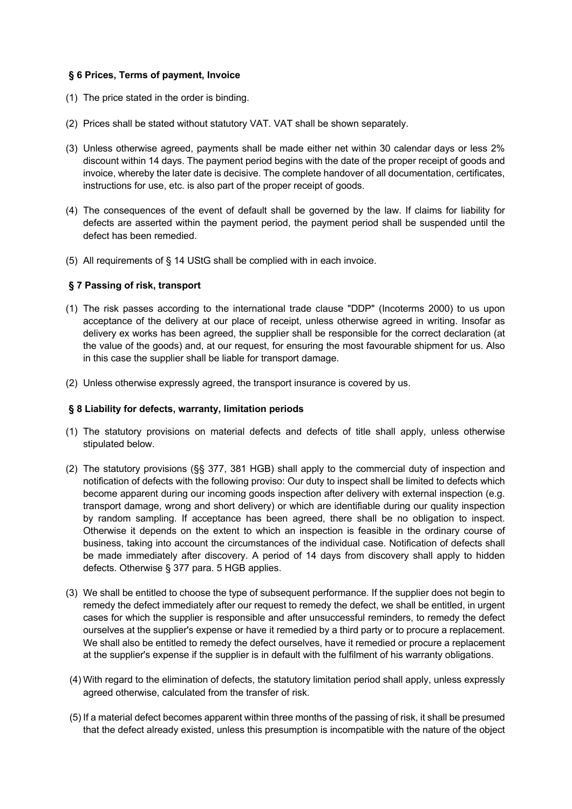# **§ 6 Prices, Terms of payment, Invoice**

- (1) The price stated in the order is binding.
- (2) Prices shall be stated without statutory VAT. VAT shall be shown separately.
- (3) Unless otherwise agreed, payments shall be made either net within 30 calendar days or less 2% discount within 14 days. The payment period begins with the date of the proper receipt of goods and invoice, whereby the later date is decisive. The complete handover of all documentation, certificates, instructions for use, etc. is also part of the proper receipt of goods.
- (4) The consequences of the event of default shall be governed by the law. If claims for liability for defects are asserted within the payment period, the payment period shall be suspended until the defect has been remedied.
- (5) All requirements of § 14 UStG shall be complied with in each invoice.

# **§ 7 Passing of risk, transport**

- (1) The risk passes according to the international trade clause "DDP" (Incoterms 2000) to us upon acceptance of the delivery at our place of receipt, unless otherwise agreed in writing. Insofar as delivery ex works has been agreed, the supplier shall be responsible for the correct declaration (at the value of the goods) and, at our request, for ensuring the most favourable shipment for us. Also in this case the supplier shall be liable for transport damage.
- (2) Unless otherwise expressly agreed, the transport insurance is covered by us.

# **§ 8 Liability for defects, warranty, limitation periods**

- (1) The statutory provisions on material defects and defects of title shall apply, unless otherwise stipulated below.
- (2) The statutory provisions (§§ 377, 381 HGB) shall apply to the commercial duty of inspection and notification of defects with the following proviso: Our duty to inspect shall be limited to defects which become apparent during our incoming goods inspection after delivery with external inspection (e.g. transport damage, wrong and short delivery) or which are identifiable during our quality inspection by random sampling. If acceptance has been agreed, there shall be no obligation to inspect. Otherwise it depends on the extent to which an inspection is feasible in the ordinary course of business, taking into account the circumstances of the individual case. Notification of defects shall be made immediately after discovery. A period of 14 days from discovery shall apply to hidden defects. Otherwise § 377 para. 5 HGB applies.
- (3) We shall be entitled to choose the type of subsequent performance. If the supplier does not begin to remedy the defect immediately after our request to remedy the defect, we shall be entitled, in urgent cases for which the supplier is responsible and after unsuccessful reminders, to remedy the defect ourselves at the supplier's expense or have it remedied by a third party or to procure a replacement. We shall also be entitled to remedy the defect ourselves, have it remedied or procure a replacement at the supplier's expense if the supplier is in default with the fulfilment of his warranty obligations.
- (4) With regard to the elimination of defects, the statutory limitation period shall apply, unless expressly agreed otherwise, calculated from the transfer of risk.
- (5) If a material defect becomes apparent within three months of the passing of risk, it shall be presumed that the defect already existed, unless this presumption is incompatible with the nature of the object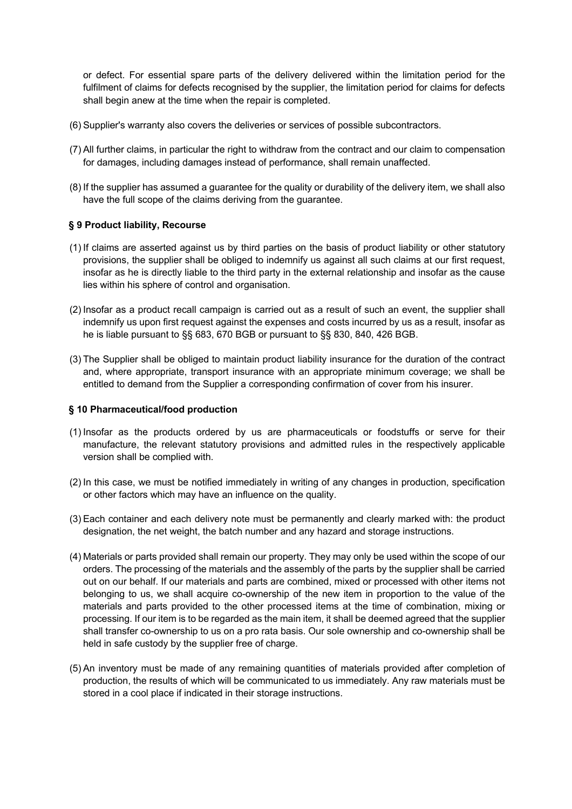or defect. For essential spare parts of the delivery delivered within the limitation period for the fulfilment of claims for defects recognised by the supplier, the limitation period for claims for defects shall begin anew at the time when the repair is completed.

- (6) Supplier's warranty also covers the deliveries or services of possible subcontractors.
- (7) All further claims, in particular the right to withdraw from the contract and our claim to compensation for damages, including damages instead of performance, shall remain unaffected.
- (8) If the supplier has assumed a guarantee for the quality or durability of the delivery item, we shall also have the full scope of the claims deriving from the guarantee.

# **§ 9 Product liability, Recourse**

- (1) If claims are asserted against us by third parties on the basis of product liability or other statutory provisions, the supplier shall be obliged to indemnify us against all such claims at our first request, insofar as he is directly liable to the third party in the external relationship and insofar as the cause lies within his sphere of control and organisation.
- (2) Insofar as a product recall campaign is carried out as a result of such an event, the supplier shall indemnify us upon first request against the expenses and costs incurred by us as a result, insofar as he is liable pursuant to §§ 683, 670 BGB or pursuant to §§ 830, 840, 426 BGB.
- (3) The Supplier shall be obliged to maintain product liability insurance for the duration of the contract and, where appropriate, transport insurance with an appropriate minimum coverage; we shall be entitled to demand from the Supplier a corresponding confirmation of cover from his insurer.

### **§ 10 Pharmaceutical/food production**

- (1) Insofar as the products ordered by us are pharmaceuticals or foodstuffs or serve for their manufacture, the relevant statutory provisions and admitted rules in the respectively applicable version shall be complied with.
- (2) In this case, we must be notified immediately in writing of any changes in production, specification or other factors which may have an influence on the quality.
- (3) Each container and each delivery note must be permanently and clearly marked with: the product designation, the net weight, the batch number and any hazard and storage instructions.
- (4) Materials or parts provided shall remain our property. They may only be used within the scope of our orders. The processing of the materials and the assembly of the parts by the supplier shall be carried out on our behalf. If our materials and parts are combined, mixed or processed with other items not belonging to us, we shall acquire co-ownership of the new item in proportion to the value of the materials and parts provided to the other processed items at the time of combination, mixing or processing. If our item is to be regarded as the main item, it shall be deemed agreed that the supplier shall transfer co-ownership to us on a pro rata basis. Our sole ownership and co-ownership shall be held in safe custody by the supplier free of charge.
- (5) An inventory must be made of any remaining quantities of materials provided after completion of production, the results of which will be communicated to us immediately. Any raw materials must be stored in a cool place if indicated in their storage instructions.